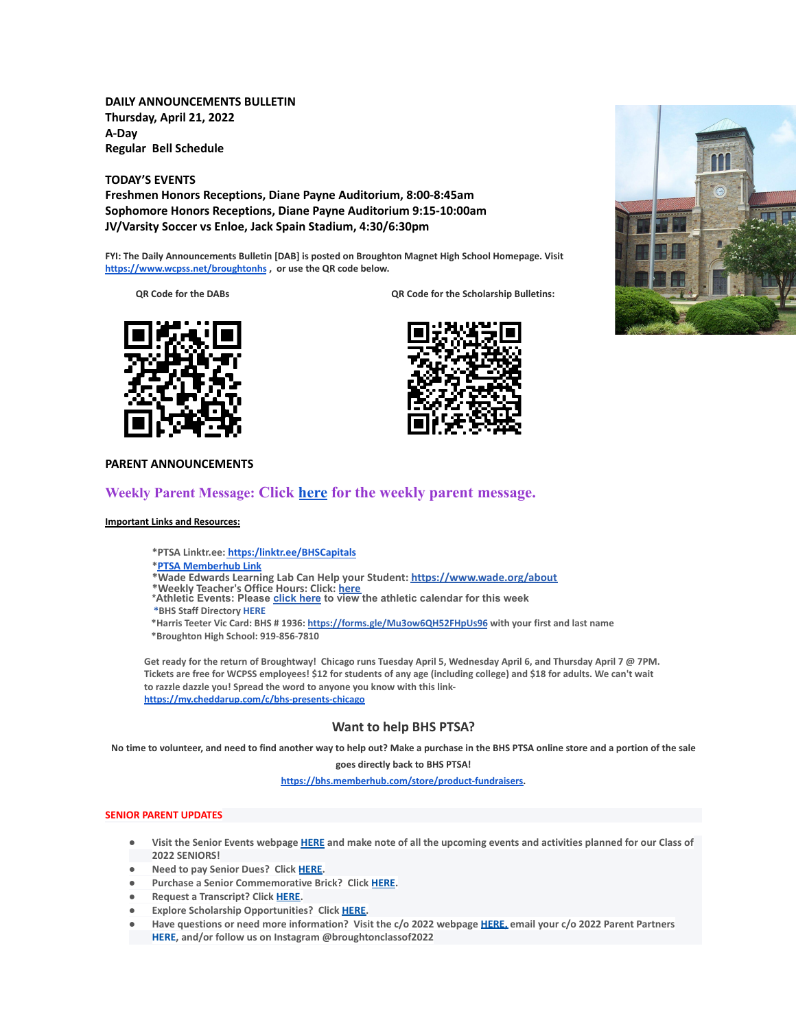**DAILY ANNOUNCEMENTS BULLETIN Thursday, April 21, 2022 A-Day Regular Bell Schedule**

**TODAY'S EVENTS**

**Freshmen Honors Receptions, Diane Payne Auditorium, 8:00-8:45am Sophomore Honors Receptions, Diane Payne Auditorium 9:15-10:00am JV/Varsity Soccer vs Enloe, Jack Spain Stadium, 4:30/6:30pm**

**FYI: The Daily Announcements Bulletin [DAB] is posted on Broughton Magnet High School Homepage. Visit <https://www.wcpss.net/broughtonhs> , or use the QR code below.**

**QR Code for the DABs QR Code for the Scholarship Bulletins:**







## **PARENT ANNOUNCEMENTS**

# **Weekly Parent Message: Click [here](https://docs.google.com/document/d/19iZBtYG8EJN1q38QIM2fRsOEF52MI_KAl6MGRRolE7Q/edit?usp=sharing) for the weekly parent message.**

#### **Important Links and Resources:**

**\*PTSA Linktr.ee: [https:/linktr.ee/BHSCapitals](https://linktr.ee/BHSCapitals)**

#### **\*PTSA [Memberhub](https://bhs.memberhub.com/store?category=Class%20of%202025) Link**

**\*Wade Edwards Learning Lab Can Help your Student: <https://www.wade.org/about>**

- 
- \*Weekly Teacher's Office Hours: Click: <u>[here](http://track.spe.schoolmessenger.com/f/a/VXmQUgL3DjY_xouvtQeSYg~~/AAAAAQA~/RgRjH1ehP0QiaHR0cHM6Ly93d3cud2Nwc3MubmV0L2RvbWFpbi8xNzY0MlcHc2Nob29sbUIKYTghJD5h5cteolIYa21jY29ubmVsbEBidWRkZ3JvdXAuY29tWAQAAAAB)</u><br>\*Athletic Events: Please <u>[click](http://track.spe.schoolmessenger.com/f/a/iNb9DXg0NxAeuYTJ_UBTRg~~/AAAAAQA~/RgRjH1ehP0RFaHR0cHM6Ly93d3cud2FrZWNvdW50eWF0aGxldGljcy5jb20vcGFnZS9zaG93LzE5NTI5MzQtbWFzdGVyLWNhbGVuZGFyVwdzY2hvb2xtQgphOCEkPmHly16iUhhrbWNjb25uZWxsQGJ1ZGRncm91cC5jb21YBAAAAAE~) here</u> to view the athletic calendar for this week

**\*BHS Staff Directory [HERE](https://www.wcpss.net/Page/45215)**

**\*Harris Teeter Vic Card: BHS # 1936: <https://forms.gle/Mu3ow6QH52FHpUs96> with your first and last name \*Broughton High School: 919-856-7810**

Get ready for the return of Broughtway! Chicago runs Tuesday April 5, Wednesday April 6, and Thursday April 7 @ 7PM. Tickets are free for WCPSS employees! \$12 for students of any age (including college) and \$18 for adults. We can't wait **to razzle dazzle you! Spread the word to anyone you know with this link<https://my.cheddarup.com/c/bhs-presents-chicago>**

## **Want to help BHS PTSA?**

No time to volunteer, and need to find another way to help out? Make a purchase in the BHS PTSA online store and a portion of the sale

**goes directly back to BHS PTSA!**

**[https://bhs.memberhub.com/store/product-fundraisers.](https://bhs.memberhub.com/store/product-fundraisers)**

### **SENIOR PARENT UPDATES**

- Visit the Senior Events webpage [HERE](https://m7scym5f.r.us-east-1.awstrack.me/L0/https:%2F%2Fwww.wcpss.net%2FPage%2F35370/1/0100017e4478ab83-fd134d52-021b-4d63-891c-31465321890c-000000/l2HEysyraEkyUxmN8Zb7rr0KEog=252) and make note of all the upcoming events and activities planned for our Class of **2022 SENIORS!**
- **● Need to pay Senior Dues? Click [HERE.](https://m7scym5f.r.us-east-1.awstrack.me/L0/https:%2F%2Fwww.wcpss.net%2FPage%2F50324/1/0100017e4478ab83-fd134d52-021b-4d63-891c-31465321890c-000000/ClmJnMcZl7w6dHljZfUUpO1RgFY=252)**
- **● Purchase a Senior Commemorative Brick? Click [HERE](https://m7scym5f.r.us-east-1.awstrack.me/L0/https:%2F%2Fwww.wcpss.net%2FPage%2F50325/1/0100017e4478ab83-fd134d52-021b-4d63-891c-31465321890c-000000/TOIvngfsD6BboqDTmL5ZVjjDlM4=252).**
- **● Request a Transcript? Click [HERE](https://m7scym5f.r.us-east-1.awstrack.me/L0/https:%2F%2Fwww.wcpss.net%2FPage%2F33378/1/0100017e4478ab83-fd134d52-021b-4d63-891c-31465321890c-000000/wkbUPzHaF79-OclNJOg-dOdn-Xk=252).**
- **● Explore Scholarship Opportunities? Click [HERE.](https://m7scym5f.r.us-east-1.awstrack.me/L0/https:%2F%2Fwww.wcpss.net%2FPage%2F50317/1/0100017e4478ab83-fd134d52-021b-4d63-891c-31465321890c-000000/vl1ViXxu5uYo9BoHks452rI6848=252)**
- Have questions or need more information? Visit the c/o 2022 webpage [HERE,](https://m7scym5f.r.us-east-1.awstrack.me/L0/https:%2F%2Fbhs.memberhub.com%2Fw%2F2022/1/0100017e4478ab83-fd134d52-021b-4d63-891c-31465321890c-000000/oTZaKWxhWWOo0o48Mf6887IPe6k=252) email your c/o 2022 Parent Partners **HERE, and/or follow us on Instagram @broughtonclassof2022**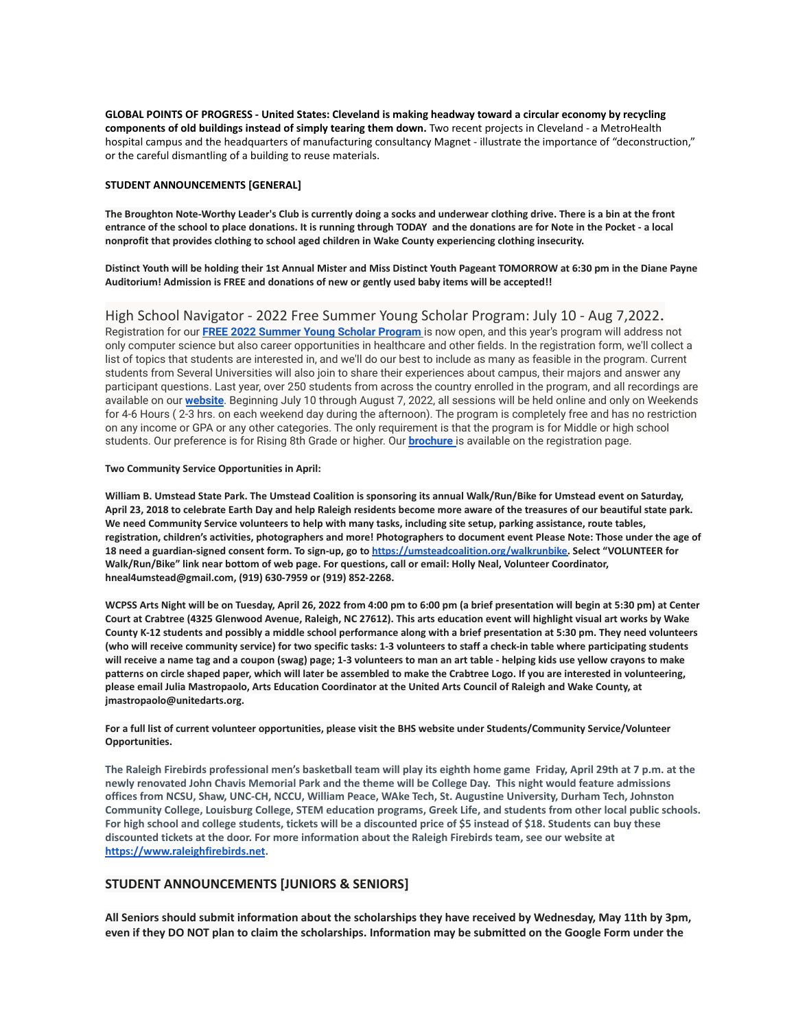**GLOBAL POINTS OF PROGRESS - United States: Cleveland is making headway toward a circular economy by recycling components of old buildings instead of simply tearing them down.** Two recent projects in Cleveland - a MetroHealth hospital campus and the headquarters of manufacturing consultancy Magnet - illustrate the importance of "deconstruction," or the careful dismantling of a building to reuse materials.

#### **STUDENT ANNOUNCEMENTS [GENERAL]**

The Broughton Note-Worthy Leader's Club is currently doing a socks and underwear clothing drive. There is a bin at the front entrance of the school to place donations. It is running through TODAY and the donations are for Note in the Pocket - a local **nonprofit that provides clothing to school aged children in Wake County experiencing clothing insecurity.**

Distinct Youth will be holding their 1st Annual Mister and Miss Distinct Youth Pageant TOMORROW at 6:30 pm in the Diane Payne **Auditorium! Admission is FREE and donations of new or gently used baby items will be accepted!!**

High School Navigator - 2022 Free Summer Young Scholar Program: July 10 - Aug 7,2022. Registration for our **FREE 2022 Summer Young Scholar [Program](https://hsnavigator.org/young-scholar-program-registration)** is now open, and this year's program will address not only computer science but also career opportunities in healthcare and other fields. In the registration form, we'll collect a list of topics that students are interested in, and we'll do our best to include as many as feasible in the program. Current students from Several Universities will also join to share their experiences about campus, their majors and answer any participant questions. Last year, over 250 students from across the country enrolled in the program, and all recordings are available on our **[website](https://hsnavigator.org/young-scholar-program)**. Beginning July 10 through August 7, 2022, all sessions will be held online and only on Weekends for 4-6 Hours ( 2-3 hrs. on each weekend day during the afternoon). The program is completely free and has no restriction on any income or GPA or any other categories. The only requirement is that the program is for Middle or high school students. Our preference is for Rising 8th Grade or higher. Our **[brochure](https://hsnavigator.org/docs/HSNavigator_YSP.pdf)** is available on the registration page.

#### **Two Community Service Opportunities in April:**

William B. Umstead State Park. The Umstead Coalition is sponsoring its annual Walk/Run/Bike for Umstead event on Saturday, April 23, 2018 to celebrate Earth Day and help Raleigh residents become more aware of the treasures of our beautiful state park. We need Community Service volunteers to help with many tasks, including site setup, parking assistance, route tables, registration, children's activities, photographers and more! Photographers to document event Please Note: Those under the age of **18 need a guardian-signed consent form. To sign-up, go to [https://umsteadcoalition.org/walkrunbike.](https://umsteadcoalition.org/walkrunbike) Select "VOLUNTEER for Walk/Run/Bike" link near bottom of web page. For questions, call or email: Holly Neal, Volunteer Coordinator, hneal4umstead@gmail.com, (919) 630-7959 or (919) 852-2268.**

WCPSS Arts Night will be on Tuesday, April 26, 2022 from 4:00 pm to 6:00 pm (a brief presentation will begin at 5:30 pm) at Center Court at Crabtree (4325 Glenwood Avenue, Raleigh, NC 27612). This arts education event will highlight visual art works by Wake County K-12 students and possibly a middle school performance along with a brief presentation at 5:30 pm. They need volunteers (who will receive community service) for two specific tasks: 1-3 volunteers to staff a check-in table where participating students will receive a name tag and a coupon (swag) page; 1-3 volunteers to man an art table - helping kids use yellow crayons to make patterns on circle shaped paper, which will later be assembled to make the Crabtree Logo. If you are interested in volunteering, please email Julia Mastropaolo, Arts Education Coordinator at the United Arts Council of Raleigh and Wake County, at **jmastropaolo@unitedarts.org.**

For a full list of current volunteer opportunities, please visit the BHS website under Students/Community Service/Volunteer **Opportunities.**

**The Raleigh Firebirds professional men's basketball team will play its eighth home game Friday, April 29th at 7 p.m. at the newly renovated John Chavis Memorial Park and the theme will be College Day. This night would feature admissions offices from NCSU, Shaw, UNC-CH, NCCU, William Peace, WAke Tech, St. Augustine University, Durham Tech, Johnston Community College, Louisburg College, STEM education programs, Greek Life, and students from other local public schools. For high school and college students, tickets will be a discounted price of \$5 instead of \$18. Students can buy these discounted tickets at the door. For more information about the Raleigh Firebirds team, see our website a[t](https://www.raleighfirebirds.net/) [https://www.raleighfirebirds.net](https://www.raleighfirebirds.net/).**

## **STUDENT ANNOUNCEMENTS [JUNIORS & SENIORS]**

All Seniors should submit information about the scholarships they have received by Wednesday, May 11th by 3pm, even if they DO NOT plan to claim the scholarships. Information may be submitted on the Google Form under the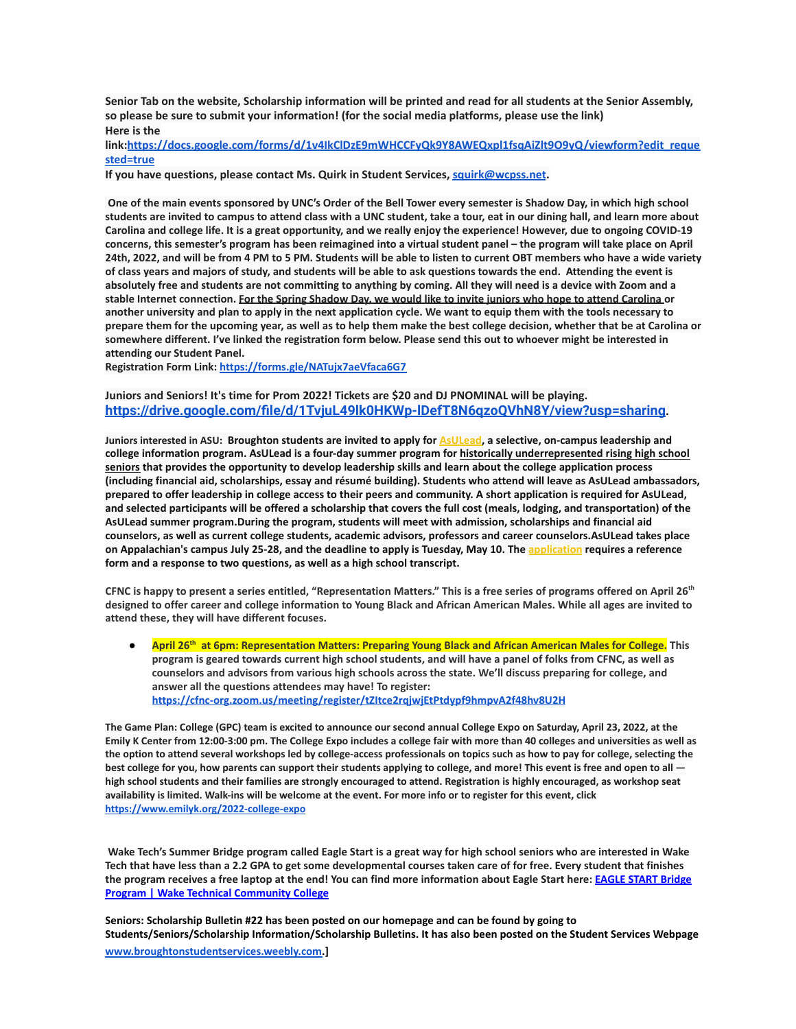Senior Tab on the website, Scholarship information will be printed and read for all students at the Senior Assembly, **so please be sure to submit your information! (for the social media platforms, please use the link) Here is the**

**link:[https://docs.google.com/forms/d/1v4IkClDzE9mWHCCFyQk9Y8AWEQxpl1fsqAiZlt9O9yQ/viewform?edit\\_reque](https://docs.google.com/forms/d/1v4IkClDzE9mWHCCFyQk9Y8AWEQxpl1fsqAiZlt9O9yQ/viewform?edit_requested=true) [sted=true](https://docs.google.com/forms/d/1v4IkClDzE9mWHCCFyQk9Y8AWEQxpl1fsqAiZlt9O9yQ/viewform?edit_requested=true)**

**If you have questions, please contact Ms. Quirk in Student Services, [squirk@wcpss.net](mailto:squirk@wcpss.net).**

**One of the main events sponsored by UNC's Order of the Bell Tower every semester is Shadow Day, in which high school students are invited to campus to attend class with a UNC student, take a tour, eat in our dining hall, and learn more about Carolina and college life. It is a great opportunity, and we really enjoy the experience! However, due to ongoing COVID-19 concerns, this semester's program has been reimagined into a virtual student panel – the program will take place on April 24th, 2022, and will be from 4 PM to 5 PM. Students will be able to listen to current OBT members who have a wide variety of class years and majors of study, and students will be able to ask questions towards the end. Attending the event is absolutely free and students are not committing to anything by coming. All they will need is a device with Zoom and a stable Internet connection. For the Spring Shadow Day, we would like to invite juniors who hope to attend Carolina or another university and plan to apply in the next application cycle. We want to equip them with the tools necessary to prepare them for the upcoming year, as well as to help them make the best college decision, whether that be at Carolina or somewhere different. I've linked the registration form below. Please send this out to whoever might be interested in attending our Student Panel.**

**Registration Form Link: <https://forms.gle/NATujx7aeVfaca6G7>**

## **Juniors and Seniors! It's time for Prom 2022! Tickets are \$20 and DJ PNOMINAL will be playing. <https://drive.google.com/file/d/1TvjuL49lk0HKWp-lDefT8N6qzoQVhN8Y/view?usp=sharing>.**

**Juniors interested in ASU: Broughton students are invited to apply for [AsULead,](https://mx.technolutions.net/ss/c/VpDhrCrvzjOrNk6AZ3TbHmyV2EcS_KxzTZM_TOJVv5LX_HEtip4l5HtB26cxx34Y/3ky/dnxlp4wjTZ2s6t2UF4j5Dw/h1/nb_aCS2pDrT3kMc0Ux76oxOSLk-8R53XA7Ge7ryf_Xk) a selective, on-campus leadership and college information program. AsULead is a four-day summer program for historically underrepresented rising high school seniors that provides the opportunity to develop leadership skills and learn about the college application process (including financial aid, scholarships, essay and résumé building). Students who attend will leave as AsULead ambassadors, prepared to offer leadership in college access to their peers and community. A short application is required for AsULead, and selected participants will be offered a scholarship that covers the full cost (meals, lodging, and transportation) of the AsULead summer program.During the program, students will meet with admission, scholarships and financial aid counselors, as well as current college students, academic advisors, professors and career counselors.AsULead takes place on Appalachian's campus July 25-28, and the deadline to apply is Tuesday, May 10. The [application](https://mx.technolutions.net/ss/c/0xN2WHGS76Iu0AkPY1AuArc0r_hnu9uxEx9hJYeJMC1fMUsKNFkxU5ao2WRhV22WIj3BJgpAc3SGYZRYsDyKIFdLyx_216XnKn1u8PkQehYvGtN_BtFSDmdaZBWH5un7/3ky/dnxlp4wjTZ2s6t2UF4j5Dw/h2/awIPm3jZi_SHCPYrDWs-bmrWs-XQN_wr1d4DsmAxfVI) requires a reference form and a response to two questions, as well as a high school transcript.**

**CFNC is happy to present a series entitled, "Representation Matters." This is a free series of programs offered on April 26th designed to offer career and college information to Young Black and African American Males. While all ages are invited to attend these, they will have different focuses.**

**● April 26th at 6pm: Representation Matters: Preparing Young Black and African American Males for College. This program is geared towards current high school students, and will have a panel of folks from CFNC, as well as counselors and advisors from various high schools across the state. We'll discuss preparing for college, and answer all the questions attendees may have! To register: <https://cfnc-org.zoom.us/meeting/register/tZItce2rqjwjEtPtdypf9hmpvA2f48hv8U2H>**

The Game Plan: College (GPC) team is excited to announce our second annual College Expo on Saturday, April 23, 2022, at the Emily K Center from 12:00-3:00 pm. The College Expo includes a college fair with more than 40 colleges and universities as well as the option to attend several workshops led by college-access professionals on topics such as how to pay for college, selecting the best college for you, how parents can support their students applying to college, and more! This event is free and open to all high school students and their families are strongly encouraged to attend. Registration is highly encouraged, as workshop seat availability is limited. Walk-ins will be welcome at the event. For more info or to register for this event, click **<https://www.emilyk.org/2022-college-expo>**

**Wake Tech's Summer Bridge program called Eagle Start is a great way for high school seniors who are interested in Wake Tech that have less than a 2.2 GPA to get some developmental courses taken care of for free. Every student that finishes the program receives a free laptop at the end! You can find more information about Eagle Start here: [EAGLE START Bridge](https://www.waketech.edu/student-life/pathways-male-mentoring/eagle-start) [Program | Wake Technical Community College](https://www.waketech.edu/student-life/pathways-male-mentoring/eagle-start)**

**Seniors: Scholarship Bulletin #22 has been posted on our homepage and can be found by going to Students/Seniors/Scholarship Information/Scholarship Bulletins. It has also been posted on the Student Services Webpage [www.broughtonstudentservices.weebly.com.](http://www.broughtonstudentservices.weebly.com)]**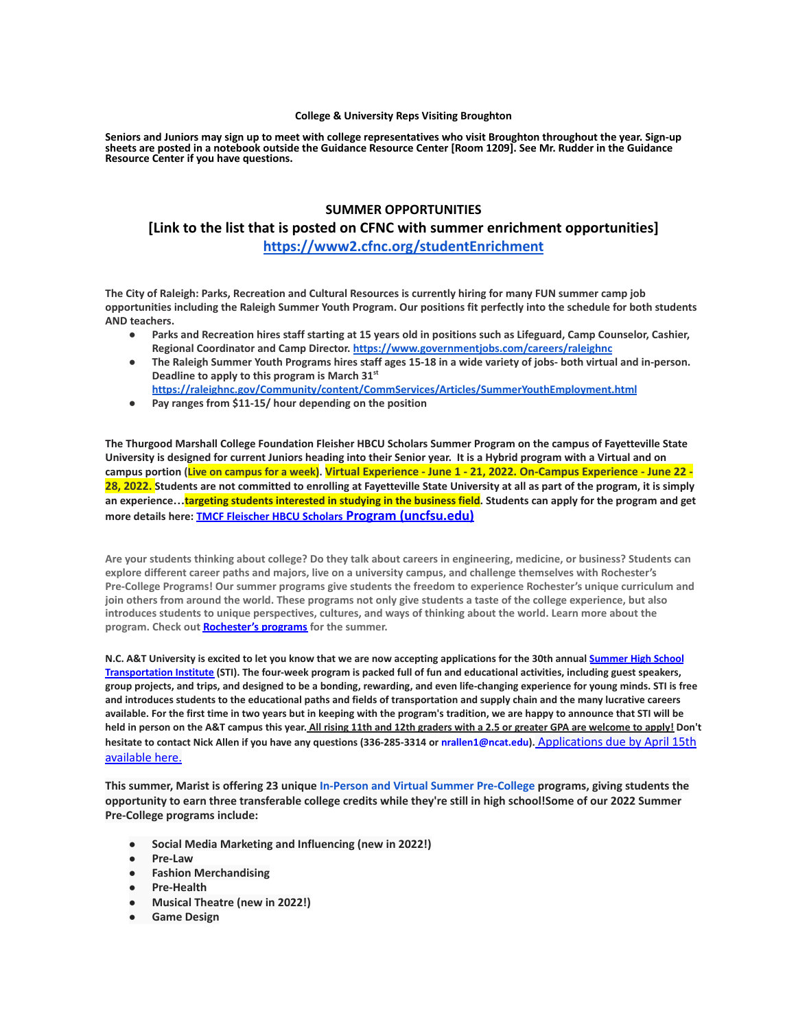#### **College & University Reps Visiting Broughton**

**Seniors and Juniors may sign up to meet with college representatives who visit Broughton throughout the year. Sign-up sheets are posted in a notebook outside the Guidance Resource Center [Room 1209]. See Mr. Rudder in the Guidance Resource Center if you have questions.**

# **SUMMER OPPORTUNITIES [Link to the list that is posted on CFNC with summer enrichment opportunities] <https://www2.cfnc.org/studentEnrichment>**

**The City of Raleigh: Parks, Recreation and Cultural Resources is currently hiring for many FUN summer camp job opportunities including the Raleigh Summer Youth Program. Our positions fit perfectly into the schedule for both students AND teachers.**

- **● Parks and Recreation hires staff starting at 15 years old in positions such as Lifeguard, Camp Counselor, Cashier, Regional Coordinator and Camp Director. <https://www.governmentjobs.com/careers/raleighnc>**
- **● The Raleigh Summer Youth Programs hires staff ages 15-18 in a wide variety of jobs- both virtual and in-person. Deadline to apply to this program is March 31st**
- **<https://raleighnc.gov/Community/content/CommServices/Articles/SummerYouthEmployment.html>**
- **● Pay ranges from \$11-15/ hour depending on the position**

**The Thurgood Marshall College Foundation Fleisher HBCU Scholars Summer Program on the campus of Fayetteville State University is designed for current Juniors heading into their Senior year. It is a Hybrid program with a Virtual and on** campus portion (Live on campus for a week). Virtual Experience - June 1 - 21, 2022. On-Campus Experience - June 22 -**28, 2022. Students are not committed to enrolling at Fayetteville State University at all as part of the program, it is simply an experience…targeting students interested in studying in the business field. Students can apply for the program and get more details here: [TMCF Fleischer HBCU Scholars](https://www.uncfsu.edu/fsu-admissions/undergraduate-admissions/freshman/tmcf-fleischer-hbcu-scholars-program) Program (uncfsu.edu)**

**Are your students thinking about college? Do they talk about careers in engineering, medicine, or business? Students can explore different career paths and majors, live on a university campus, and challenge themselves with Rochester's Pre-College Programs! Our summer programs give students the freedom to experience Rochester's unique curriculum and join others from around the world. These programs not only give students a taste of the college experience, but also introduces students to unique perspectives, cultures, and ways of thinking about the world. Learn more about the program. Check out [Rochester's programs](https://mx.technolutions.net/ss/c/VpDhrCrvzjOrNk6AZ3TbHmfciYltKrD7MBPJoCczPWIpxnRQzWKzzHDQWRCT4ITrZgBGUpBV0oJyZx6JR4wlKA/3k5/S_JCymRIRTKmq8wpxCFQXg/h1/NhgfUr5_fLermZgjpTef9a9tmAUC5e_IGJRjXZLuFKQ) for the summer.**

N.C. A&T University is excited to let you know that we are now accepting applications for the 30th annual [Summer](https://ncat.us10.list-manage.com/track/click?u=16e0de389d8e5c15344477a62&id=d5f9e08b9c&e=61b6ee945d) High School [Transportation](https://ncat.us10.list-manage.com/track/click?u=16e0de389d8e5c15344477a62&id=d5f9e08b9c&e=61b6ee945d) Institute (STI). The four-week program is packed full of fun and educational activities, including guest speakers, group projects, and trips, and designed to be a bonding, rewarding, and even life-changing experience for young minds. STI is free and introduces students to the educational paths and fields of transportation and supply chain and the many lucrative careers available. For the first time in two years but in keeping with the program's tradition, we are happy to announce that STI will be held in person on the A&T campus this year. All rising 11th and 12th graders with a 2.5 or greater GPA are welcome to apply! Don't **hesitate to contact Nick Allen if you have any questions (336-285-3314 or nrallen1@ncat.edu).** [Applications](https://ncat.us10.list-manage.com/track/click?u=16e0de389d8e5c15344477a62&id=b587740df6&e=61b6ee945d) due by April 15th [available](https://ncat.us10.list-manage.com/track/click?u=16e0de389d8e5c15344477a62&id=b587740df6&e=61b6ee945d) here.

**This summer, Marist is offering 23 unique In-Person and Virtual Summer [Pre-College](https://api.targetx.com/email-interact/redirect?id=MTEwMDAwNDI5IDcwMTFQMDAwMDAwdWRmRVFBUSBhMEcxUDAwMDAxVjd5MkxVQVIgMDAzMWEwMDAwMEJVenBBQUFU&link=https%3A//www.marist.edu/admission/summer-pre-college&tlink=aHR0cHM6Ly93d3cubWFyaXN0LmVkdS9hZG1pc3Npb24vc3VtbWVyLXByZS1jb2xsZWdl) programs, giving students the** opportunity to earn three transferable college credits while they're still in high school!Some of our 2022 Summer **Pre-College programs include:**

- **● Social Media Marketing and Influencing (new in 2022!)**
- **● Pre-Law**
- **● Fashion Merchandising**
- **● Pre-Health**
- **● Musical Theatre (new in 2022!)**
- **● Game Design**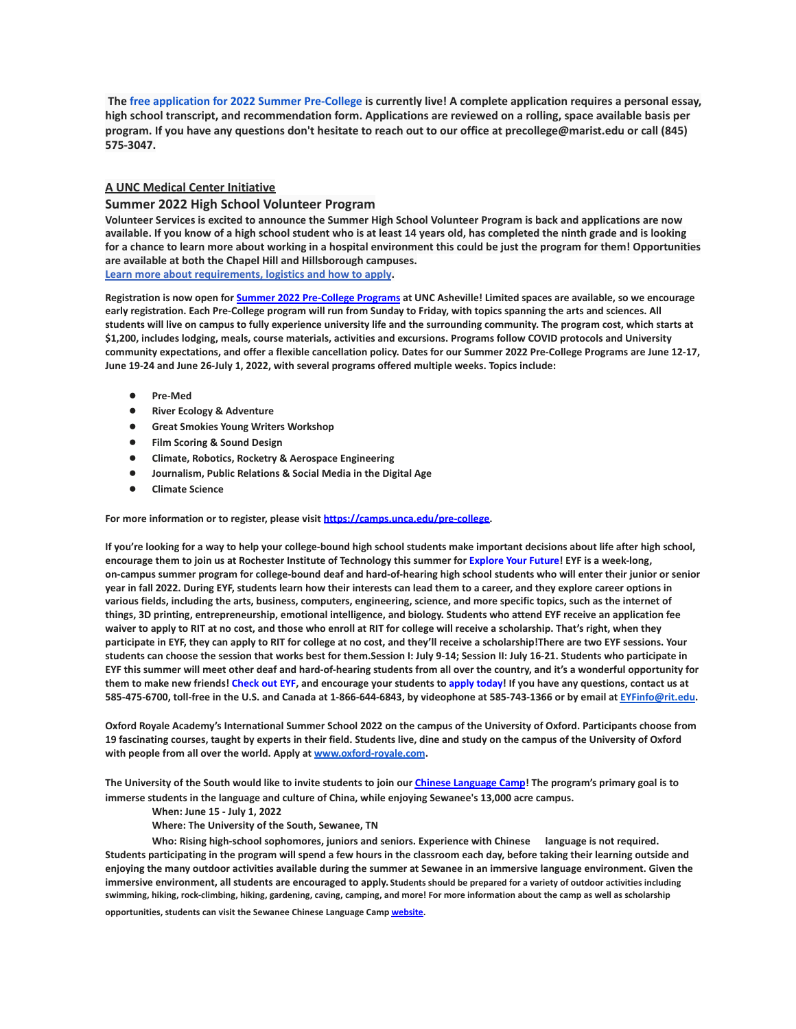The free application for 2022 Summer [Pre-College](https://api.targetx.com/email-interact/redirect?id=MTEwMDAwNDI5IDcwMTFQMDAwMDAwdWRmRVFBUSBhMEcxUDAwMDAxVjd5MkxVQVIgMDAzMWEwMDAwMEJVenBBQUFU&link=https%3A//www.marist.edu/admission/summer-pre-college/how-to-apply&tlink=aHR0cHM6Ly93d3cubWFyaXN0LmVkdS9hZG1pc3Npb24vc3VtbWVyLXByZS1jb2xsZWdlL2hvdy10by1hcHBseQ%3D%3D) is currently live! A complete application requires a personal essay, high school transcript, and recommendation form. Applications are reviewed on a rolling, space available basis per program. If you have any questions don't hesitate to reach out to our office at precollege@marist.edu or call (845) **575-3047.**

## **A UNC Medical Center Initiative**

#### **Summer 2022 High School Volunteer Program**

**Volunteer Services is excited to announce the Summer High School Volunteer Program is back and applications are now available. If you know of a high school student who is at least 14 years old, has completed the ninth grade and is looking for a chance to learn more about working in a hospital environment this could be just the program for them! Opportunities are available at both the Chapel Hill and Hillsborough campuses.**

**[Learn more about requirements, logistics and how to apply](https://www.uncmedicalcenter.org/uncmc/support/volunteer-services/high-school-volunteers/).**

Registration is now open for Summer 2022 [Pre-College](https://mx.technolutions.net/ss/c/cHS6KxvaczfHhqkpLrKMJVWPxcQYRt0e0iEku2lDCy7TWiJx1_55o8zjVGV1sVk6/3jg/1SU4Iqm8RKCGs9Kqp3oKCA/h1/8KmmmA0tWn519kb2cHeogzMl7YlN_0BGLRgnvms3mCI) Programs at UNC Asheville! Limited spaces are available, so we encourage early registration. Each Pre-College program will run from Sunday to Friday, with topics spanning the arts and sciences. All students will live on campus to fully experience university life and the surrounding community. The program cost, which starts at \$1,200, includes lodging, meals, course materials, activities and excursions. Programs follow COVID protocols and University community expectations, and offer a flexible cancellation policy. Dates for our Summer 2022 Pre-College Programs are June 12-17, **June 19-24 and June 26-July 1, 2022, with several programs offered multiple weeks. Topics include:**

- **● Pre-Med**
- **● River Ecology & Adventure**
- **● Great Smokies Young Writers Workshop**
- **● Film Scoring & Sound Design**
- **● Climate, Robotics, Rocketry & Aerospace Engineering**
- **● Journalism, Public Relations & Social Media in the Digital Age**
- **● Climate Science**

**For more information or to register, please visit [https://camps.unca.edu/pre-college.](https://mx.technolutions.net/ss/c/BQM-IylQKwVhFDmSUz94JMzQQ0hkkx5ESJs5UdbzD71mct6i1Y__RJ3rL4CzntUn/3jg/1SU4Iqm8RKCGs9Kqp3oKCA/h2/MZqaRAcrABE7L3WtqgiOohchCUtuWHHU1_eALUf2hTU)**

If you're looking for a way to help your college-bound high school students make important decisions about life after high school, encourage them to join us at Rochester Institute of Technology this summer for [Explore](https://mx.technolutions.net/ss/c/gsby7xed_Q9kJKoUKuDGdB9R9sive_ZsM1Qb_nhkgjA08w4AqgRoJb0vlLFSSjZT/3j6/cfOu9R3lR8u3xTRhpngdYQ/h2/xzdGfzy3I2uSoAWXNd4vWkN1gV7yfnaiLQn6UQatgnc) Your Future! EYF is a week-long, on-campus summer program for college-bound deaf and hard-of-hearing high school students who will enter their junior or senior year in fall 2022. During EYF, students learn how their interests can lead them to a career, and they explore career options in various fields, including the arts, business, computers, engineering, science, and more specific topics, such as the internet of things, 3D printing, entrepreneurship, emotional intelligence, and biology. Students who attend EYF receive an application fee waiver to apply to RIT at no cost, and those who enroll at RIT for college will receive a scholarship. That's right, when they participate in EYF, they can apply to RIT for college at no cost, and they'll receive a scholarship!There are two EYF sessions. Your students can choose the session that works best for them.Session I: July 9-14; Session II: July 16-21. Students who participate in EYF this summer will meet other deaf and hard-of-hearing students from all over the country, and it's a wonderful opportunity for them to make new friends! [Check](https://mx.technolutions.net/ss/c/gsby7xed_Q9kJKoUKuDGdB9R9sive_ZsM1Qb_nhkgjA08w4AqgRoJb0vlLFSSjZT/3j6/cfOu9R3lR8u3xTRhpngdYQ/h3/EJAJ5IZYnhy_5EoPb20FqK_vFekSoBF5wdP5m4I0v8E) out EYF, and encourage your students to apply [today!](https://mx.technolutions.net/ss/c/VpDhrCrvzjOrNk6AZ3TbHsDAoOWeZg67sWX3pIhEAGxCWhE-b5_ccZhgCUBu0qQbXV3r3Sp2r3bvI44-_FnkWzKY8PPT-NIXylVlj1p1QBc/3j6/cfOu9R3lR8u3xTRhpngdYQ/h4/z_F1GbKvjAXrSXS3vh6GZk3C0_JRjjBhcsu_861EJVE) If you have any questions, contact us at 585-475-6700, toll-free in the U.S. and Canada at 1-866-644-6843, by videophone at 585-743-1366 or by email at [EYFinfo@rit.edu.](mailto:EYFinfo@rit.edu)

Oxford Royale Academy's International Summer School 2022 on the campus of the University of Oxford. Participants choose from 19 fascinating courses, taught by experts in their field. Students live, dine and study on the campus of the University of Oxford **with people from all over the world. Apply at [www.oxford-royale.com](http://www.oxford-royale.com).**

The University of the South would like to invite students to join our *Chinese [Language](https://mx.technolutions.net/ss/c/eakQ-C8DCmUrd8y7yBWDFiYAOUoJQ4pz7MfbEBpip6l0y_Hm_m-q4S1NAhKySW0l0l52Av-XFInBcX_HbKNhaFaTuY25zEq03f7H2jjkYbiZerVnvT_jJBJvBnD8L-82oFcjCA4feCp5rOrmzPCcig/3h1/Zb0AzY0dSO6ybsQoCzalvA/h1/a-eaRv0bEo5dxrOjmNABke9N9q3IKNCmv7tp3yn1eRg) Camp*! The program's primary goal is to **immerse students in the language and culture of China, while enjoying Sewanee's 13,000 acre campus.**

**When: June 15 - July 1, 2022**

**Where: The University of the South, Sewanee, TN**

**Who: Rising high-school sophomores, juniors and seniors. Experience with Chinese language is not required.** Students participating in the program will spend a few hours in the classroom each day, before taking their learning outside and enjoying the many outdoor activities available during the summer at Sewanee in an immersive language environment. Given the **immersive environment, all students are encouraged to apply. Students should be prepared for a variety of outdoor activities including swimming, hiking, rock-climbing, hiking, gardening, caving, camping, and more! For more information about the camp as well as scholarship**

**opportunities, students can visit the Sewanee Chinese Language Camp [website.](https://mx.technolutions.net/ss/c/eakQ-C8DCmUrd8y7yBWDFiYAOUoJQ4pz7MfbEBpip6l0y_Hm_m-q4S1NAhKySW0l0l52Av-XFInBcX_HbKNhaFaTuY25zEq03f7H2jjkYbiZerVnvT_jJBJvBnD8L-82oFcjCA4feCp5rOrmzPCcig/3h1/Zb0AzY0dSO6ybsQoCzalvA/h2/75iusWoe6oX7KGnwrl--J5PGQK1G9zr9iO3WkMg5UHE)**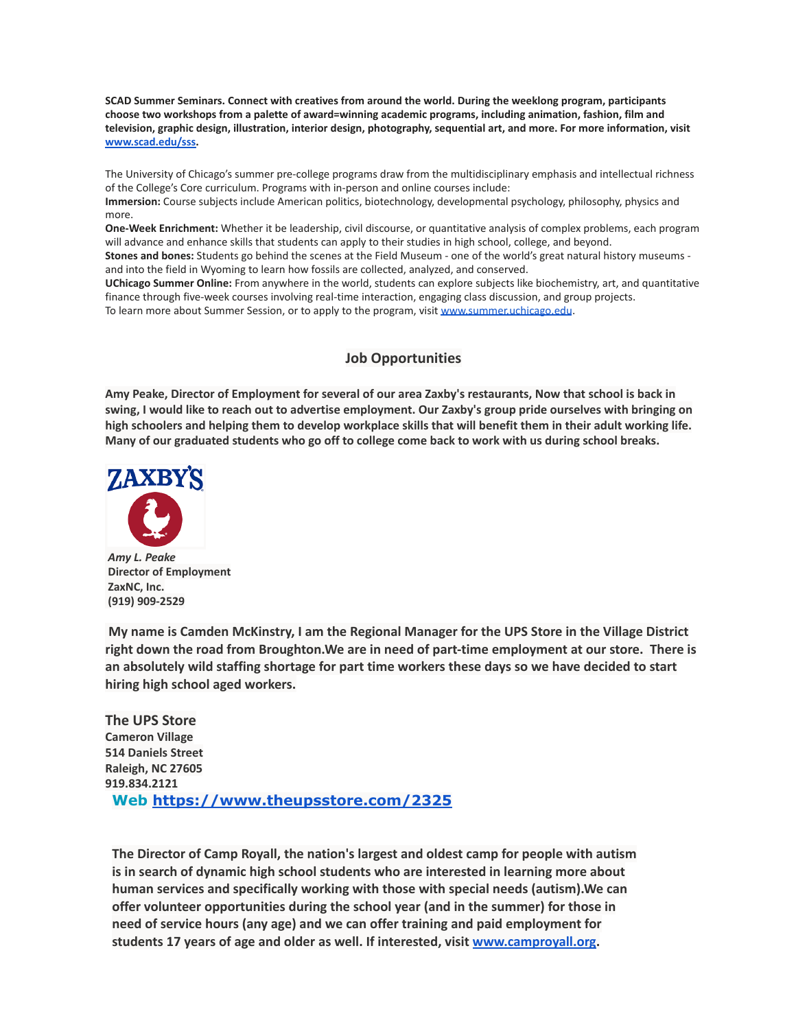**SCAD Summer Seminars. Connect with creatives from around the world. During the weeklong program, participants choose two workshops from a palette of award=winning academic programs, including animation, fashion, film and television, graphic design, illustration, interior design, photography, sequential art, and more. For more information, visit [www.scad.edu/sss.](http://www.scad.edu/sss)**

The University of Chicago's summer pre-college programs draw from the multidisciplinary emphasis and intellectual richness of the College's Core curriculum. Programs with in-person and online courses include:

**Immersion:** Course subjects include American politics, biotechnology, developmental psychology, philosophy, physics and more.

**One-Week Enrichment:** Whether it be leadership, civil discourse, or quantitative analysis of complex problems, each program will advance and enhance skills that students can apply to their studies in high school, college, and beyond.

**Stones and bones:** Students go behind the scenes at the Field Museum - one of the world's great natural history museums and into the field in Wyoming to learn how fossils are collected, analyzed, and conserved.

**UChicago Summer Online:** From anywhere in the world, students can explore subjects like biochemistry, art, and quantitative finance through five-week courses involving real-time interaction, engaging class discussion, and group projects. To learn more about Summer Session, or to apply to the program, visit [www.summer.uchicago.edu](http://www.summer.uchicago.edu).

# **Job Opportunities**

Amy Peake, Director of Employment for several of our area Zaxby's restaurants, Now that school is back in swing, I would like to reach out to advertise employment. Our Zaxby's group pride ourselves with bringing on high schoolers and helping them to develop workplace skills that will benefit them in their adult working life. Many of our graduated students who go off to college come back to work with us during school breaks.



*Amy L. Peake* **Director of Employment ZaxNC, Inc. (919) 909-2529**

**My name is Camden McKinstry, I am the Regional Manager for the UPS Store in the Village District right down the road from Broughton.We are in need of part-time employment at our store. There is an absolutely wild staffing shortage for part time workers these days so we have decided to start hiring high school aged workers.**

**The UPS Store Cameron Village 514 Daniels Street Raleigh, NC 27605 919.834.2121 Web <https://www.theupsstore.com/2325>**

**The Director of Camp Royall, the nation's largest and oldest camp for people with autism is in search of dynamic high school students who are interested in learning more about human services and specifically working with those with special needs (autism).We can offer volunteer opportunities during the school year (and in the summer) for those in need of service hours (any age) and we can offer training and paid employment for students 17 years of age and older as well. If interested, visit [www.camproyall.org.](http://www.camproyall.org)**